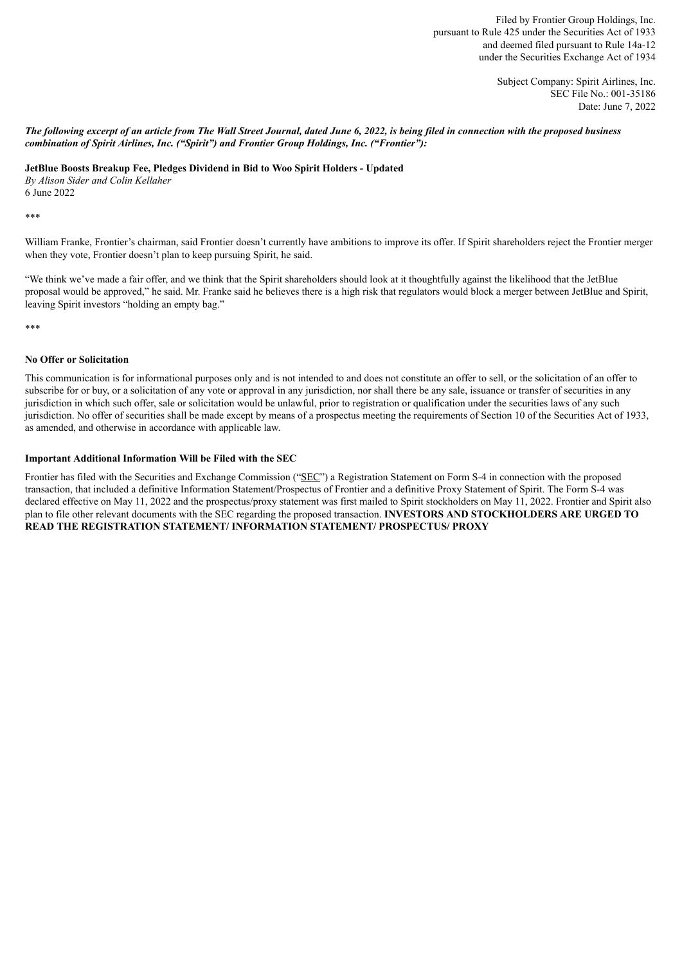Filed by Frontier Group Holdings, Inc. pursuant to Rule 425 under the Securities Act of 1933 and deemed filed pursuant to Rule 14a-12 under the Securities Exchange Act of 1934

> Subject Company: Spirit Airlines, Inc. SEC File No.: 001-35186 Date: June 7, 2022

## The following excerpt of an article from The Wall Street Journal, dated June 6, 2022, is being filed in connection with the proposed business *combination of Spirit Airlines, Inc. ("Spirit") and Frontier Group Holdings, Inc. ("Frontier"):*

# **JetBlue Boosts Breakup Fee, Pledges Dividend in Bid to Woo Spirit Holders - Updated**

*By Alison Sider and Colin Kellaher* 6 June 2022

\*\*\*

William Franke, Frontier's chairman, said Frontier doesn't currently have ambitions to improve its offer. If Spirit shareholders reject the Frontier merger when they vote, Frontier doesn't plan to keep pursuing Spirit, he said.

"We think we've made a fair offer, and we think that the Spirit shareholders should look at it thoughtfully against the likelihood that the JetBlue proposal would be approved," he said. Mr. Franke said he believes there is a high risk that regulators would block a merger between JetBlue and Spirit, leaving Spirit investors "holding an empty bag."

\*\*\*

#### **No Offer or Solicitation**

This communication is for informational purposes only and is not intended to and does not constitute an offer to sell, or the solicitation of an offer to subscribe for or buy, or a solicitation of any vote or approval in any jurisdiction, nor shall there be any sale, issuance or transfer of securities in any jurisdiction in which such offer, sale or solicitation would be unlawful, prior to registration or qualification under the securities laws of any such jurisdiction. No offer of securities shall be made except by means of a prospectus meeting the requirements of Section 10 of the Securities Act of 1933, as amended, and otherwise in accordance with applicable law.

# **Important Additional Information Will be Filed with the SEC**

Frontier has filed with the Securities and Exchange Commission ("SEC") a Registration Statement on Form S-4 in connection with the proposed transaction, that included a definitive Information Statement/Prospectus of Frontier and a definitive Proxy Statement of Spirit. The Form S-4 was declared effective on May 11, 2022 and the prospectus/proxy statement was first mailed to Spirit stockholders on May 11, 2022. Frontier and Spirit also plan to file other relevant documents with the SEC regarding the proposed transaction. **INVESTORS AND STOCKHOLDERS ARE URGED TO READ THE REGISTRATION STATEMENT/ INFORMATION STATEMENT/ PROSPECTUS/ PROXY**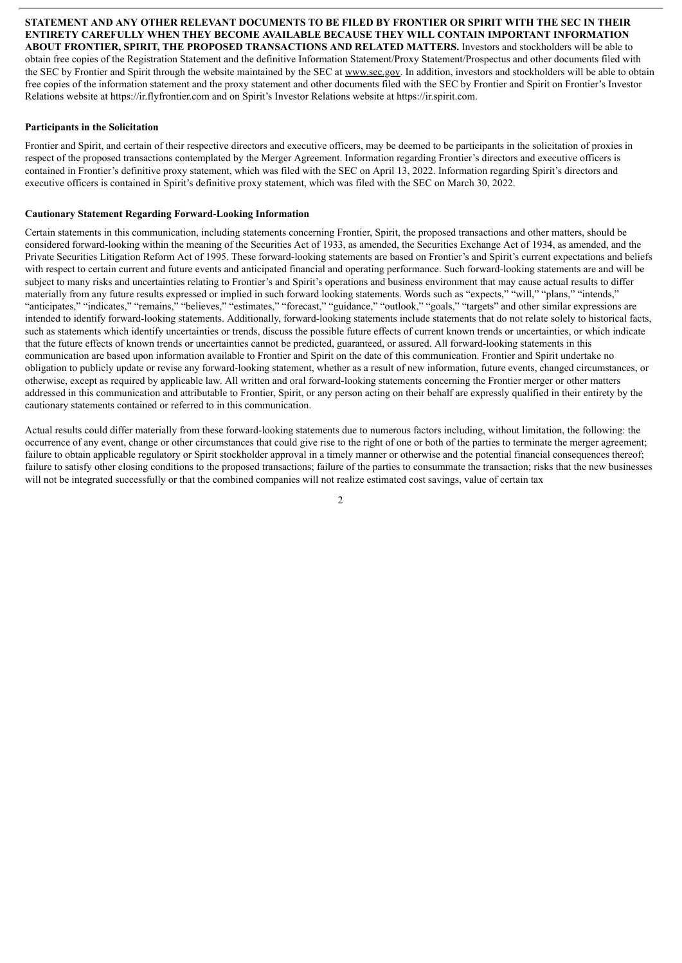**STATEMENT AND ANY OTHER RELEVANT DOCUMENTS TO BE FILED BY FRONTIER OR SPIRIT WITH THE SEC IN THEIR ENTIRETY CAREFULLY WHEN THEY BECOME AVAILABLE BECAUSE THEY WILL CONTAIN IMPORTANT INFORMATION ABOUT FRONTIER, SPIRIT, THE PROPOSED TRANSACTIONS AND RELATED MATTERS.** Investors and stockholders will be able to obtain free copies of the Registration Statement and the definitive Information Statement/Proxy Statement/Prospectus and other documents filed with the SEC by Frontier and Spirit through the website maintained by the SEC at www.sec.gov. In addition, investors and stockholders will be able to obtain free copies of the information statement and the proxy statement and other documents filed with the SEC by Frontier and Spirit on Frontier's Investor Relations website at https://ir.flyfrontier.com and on Spirit's Investor Relations website at https://ir.spirit.com.

## **Participants in the Solicitation**

Frontier and Spirit, and certain of their respective directors and executive officers, may be deemed to be participants in the solicitation of proxies in respect of the proposed transactions contemplated by the Merger Agreement. Information regarding Frontier's directors and executive officers is contained in Frontier's definitive proxy statement, which was filed with the SEC on April 13, 2022. Information regarding Spirit's directors and executive officers is contained in Spirit's definitive proxy statement, which was filed with the SEC on March 30, 2022.

#### **Cautionary Statement Regarding Forward-Looking Information**

Certain statements in this communication, including statements concerning Frontier, Spirit, the proposed transactions and other matters, should be considered forward-looking within the meaning of the Securities Act of 1933, as amended, the Securities Exchange Act of 1934, as amended, and the Private Securities Litigation Reform Act of 1995. These forward-looking statements are based on Frontier's and Spirit's current expectations and beliefs with respect to certain current and future events and anticipated financial and operating performance. Such forward-looking statements are and will be subject to many risks and uncertainties relating to Frontier's and Spirit's operations and business environment that may cause actual results to differ materially from any future results expressed or implied in such forward looking statements. Words such as "expects," "will," "plans," "intends," "anticipates," "indicates," "remains," "believes," "estimates," "forecast," "guidance," "outlook," "goals," "targets" and other similar expressions are intended to identify forward-looking statements. Additionally, forward-looking statements include statements that do not relate solely to historical facts, such as statements which identify uncertainties or trends, discuss the possible future effects of current known trends or uncertainties, or which indicate that the future effects of known trends or uncertainties cannot be predicted, guaranteed, or assured. All forward-looking statements in this communication are based upon information available to Frontier and Spirit on the date of this communication. Frontier and Spirit undertake no obligation to publicly update or revise any forward-looking statement, whether as a result of new information, future events, changed circumstances, or otherwise, except as required by applicable law. All written and oral forward-looking statements concerning the Frontier merger or other matters addressed in this communication and attributable to Frontier, Spirit, or any person acting on their behalf are expressly qualified in their entirety by the cautionary statements contained or referred to in this communication.

Actual results could differ materially from these forward-looking statements due to numerous factors including, without limitation, the following: the occurrence of any event, change or other circumstances that could give rise to the right of one or both of the parties to terminate the merger agreement; failure to obtain applicable regulatory or Spirit stockholder approval in a timely manner or otherwise and the potential financial consequences thereof; failure to satisfy other closing conditions to the proposed transactions; failure of the parties to consummate the transaction; risks that the new businesses will not be integrated successfully or that the combined companies will not realize estimated cost savings, value of certain tax

 $\mathcal{L}$